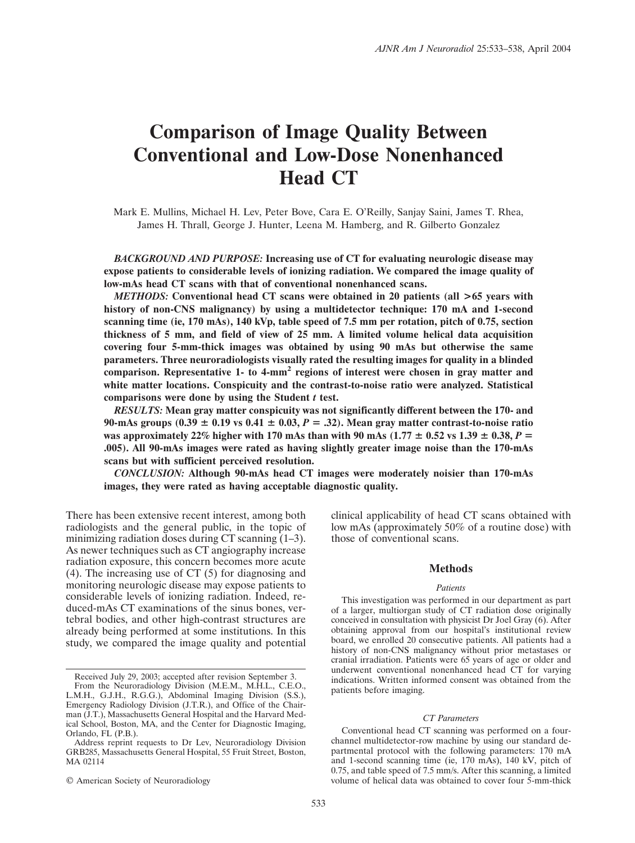# **Comparison of Image Quality Between Conventional and Low-Dose Nonenhanced Head CT**

Mark E. Mullins, Michael H. Lev, Peter Bove, Cara E. O'Reilly, Sanjay Saini, James T. Rhea, James H. Thrall, George J. Hunter, Leena M. Hamberg, and R. Gilberto Gonzalez

*BACKGROUND AND PURPOSE:* **Increasing use of CT for evaluating neurologic disease may expose patients to considerable levels of ionizing radiation. We compared the image quality of low-mAs head CT scans with that of conventional nonenhanced scans.**

*METHODS:* **Conventional head CT scans were obtained in 20 patients (all >65 years with history of non-CNS malignancy) by using a multidetector technique: 170 mA and 1-second scanning time (ie, 170 mAs), 140 kVp, table speed of 7.5 mm per rotation, pitch of 0.75, section thickness of 5 mm, and field of view of 25 mm. A limited volume helical data acquisition covering four 5-mm-thick images was obtained by using 90 mAs but otherwise the same parameters. Three neuroradiologists visually rated the resulting images for quality in a blinded comparison. Representative 1- to 4-mm2 regions of interest were chosen in gray matter and white matter locations. Conspicuity and the contrast-to-noise ratio were analyzed. Statistical comparisons were done by using the Student** *t* **test.**

*RESULTS:* **Mean gray matter conspicuity was not significantly different between the 170- and 90-mAs groups (0.39 0.19 vs 0.41 0.03,** *P* - **.32). Mean gray matter contrast-to-noise ratio w**as approximately 22% higher with 170 mAs than with 90 mAs (1.77  $\pm$  0.52 vs 1.39  $\pm$  0.38, *P* = **.005). All 90-mAs images were rated as having slightly greater image noise than the 170-mAs scans but with sufficient perceived resolution.**

*CONCLUSION:* **Although 90-mAs head CT images were moderately noisier than 170-mAs images, they were rated as having acceptable diagnostic quality.**

There has been extensive recent interest, among both radiologists and the general public, in the topic of minimizing radiation doses during CT scanning  $(1-3)$ . As newer techniques such as CT angiography increase radiation exposure, this concern becomes more acute (4). The increasing use of CT (5) for diagnosing and monitoring neurologic disease may expose patients to considerable levels of ionizing radiation. Indeed, reduced-mAs CT examinations of the sinus bones, vertebral bodies, and other high-contrast structures are already being performed at some institutions. In this study, we compared the image quality and potential

© American Society of Neuroradiology

clinical applicability of head CT scans obtained with low mAs (approximately 50% of a routine dose) with those of conventional scans.

## **Methods**

#### *Patients*

This investigation was performed in our department as part of a larger, multiorgan study of CT radiation dose originally conceived in consultation with physicist Dr Joel Gray (6). After obtaining approval from our hospital's institutional review board, we enrolled 20 consecutive patients. All patients had a history of non-CNS malignancy without prior metastases or cranial irradiation. Patients were 65 years of age or older and underwent conventional nonenhanced head CT for varying indications. Written informed consent was obtained from the patients before imaging.

### *CT Parameters*

Conventional head CT scanning was performed on a fourchannel multidetector-row machine by using our standard departmental protocol with the following parameters: 170 mA and 1-second scanning time (ie, 170 mAs), 140 kV, pitch of 0.75, and table speed of 7.5 mm/s. After this scanning, a limited volume of helical data was obtained to cover four 5-mm-thick

Received July 29, 2003; accepted after revision September 3.

From the Neuroradiology Division (M.E.M., M.H.L., C.E.O., L.M.H., G.J.H., R.G.G.), Abdominal Imaging Division (S.S.), Emergency Radiology Division (J.T.R.), and Office of the Chairman (J.T.), Massachusetts General Hospital and the Harvard Medical School, Boston, MA, and the Center for Diagnostic Imaging, Orlando, FL (P.B.).

Address reprint requests to Dr Lev, Neuroradiology Division GRB285, Massachusetts General Hospital, 55 Fruit Street, Boston, MA 02114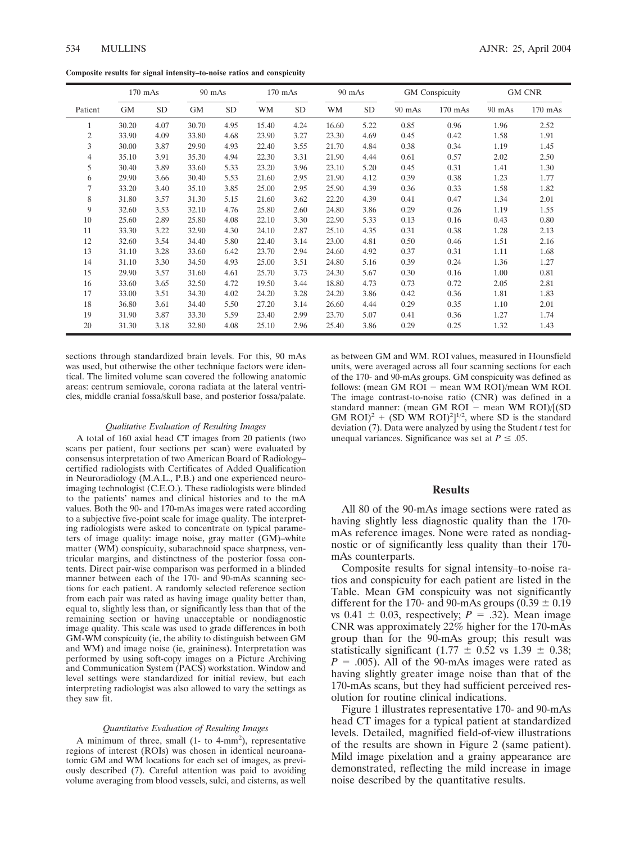**Composite results for signal intensity–to-noise ratios and conspicuity**

|         | $170$ mAs |           | 90 mAs    |           | $170$ mAs |           | 90 mAs |           | GM Conspicuity |           | <b>GM CNR</b> |           |
|---------|-----------|-----------|-----------|-----------|-----------|-----------|--------|-----------|----------------|-----------|---------------|-----------|
| Patient | <b>GM</b> | <b>SD</b> | <b>GM</b> | <b>SD</b> | <b>WM</b> | <b>SD</b> | WM     | <b>SD</b> | $90$ mAs       | $170$ mAs | $90$ mAs      | $170$ mAs |
| 1       | 30.20     | 4.07      | 30.70     | 4.95      | 15.40     | 4.24      | 16.60  | 5.22      | 0.85           | 0.96      | 1.96          | 2.52      |
| 2       | 33.90     | 4.09      | 33.80     | 4.68      | 23.90     | 3.27      | 23.30  | 4.69      | 0.45           | 0.42      | 1.58          | 1.91      |
| 3       | 30.00     | 3.87      | 29.90     | 4.93      | 22.40     | 3.55      | 21.70  | 4.84      | 0.38           | 0.34      | 1.19          | 1.45      |
| 4       | 35.10     | 3.91      | 35.30     | 4.94      | 22.30     | 3.31      | 21.90  | 4.44      | 0.61           | 0.57      | 2.02          | 2.50      |
| 5       | 30.40     | 3.89      | 33.60     | 5.33      | 23.20     | 3.96      | 23.10  | 5.20      | 0.45           | 0.31      | 1.41          | 1.30      |
| 6       | 29.90     | 3.66      | 30.40     | 5.53      | 21.60     | 2.95      | 21.90  | 4.12      | 0.39           | 0.38      | 1.23          | 1.77      |
| 7       | 33.20     | 3.40      | 35.10     | 3.85      | 25.00     | 2.95      | 25.90  | 4.39      | 0.36           | 0.33      | 1.58          | 1.82      |
| 8       | 31.80     | 3.57      | 31.30     | 5.15      | 21.60     | 3.62      | 22.20  | 4.39      | 0.41           | 0.47      | 1.34          | 2.01      |
| 9       | 32.60     | 3.53      | 32.10     | 4.76      | 25.80     | 2.60      | 24.80  | 3.86      | 0.29           | 0.26      | 1.19          | 1.55      |
| 10      | 25.60     | 2.89      | 25.80     | 4.08      | 22.10     | 3.30      | 22.90  | 5.33      | 0.13           | 0.16      | 0.43          | 0.80      |
| 11      | 33.30     | 3.22      | 32.90     | 4.30      | 24.10     | 2.87      | 25.10  | 4.35      | 0.31           | 0.38      | 1.28          | 2.13      |
| 12      | 32.60     | 3.54      | 34.40     | 5.80      | 22.40     | 3.14      | 23.00  | 4.81      | 0.50           | 0.46      | 1.51          | 2.16      |
| 13      | 31.10     | 3.28      | 33.60     | 6.42      | 23.70     | 2.94      | 24.60  | 4.92      | 0.37           | 0.31      | 1.11          | 1.68      |
| 14      | 31.10     | 3.30      | 34.50     | 4.93      | 25.00     | 3.51      | 24.80  | 5.16      | 0.39           | 0.24      | 1.36          | 1.27      |
| 15      | 29.90     | 3.57      | 31.60     | 4.61      | 25.70     | 3.73      | 24.30  | 5.67      | 0.30           | 0.16      | 1.00          | 0.81      |
| 16      | 33.60     | 3.65      | 32.50     | 4.72      | 19.50     | 3.44      | 18.80  | 4.73      | 0.73           | 0.72      | 2.05          | 2.81      |
| 17      | 33.00     | 3.51      | 34.30     | 4.02      | 24.20     | 3.28      | 24.20  | 3.86      | 0.42           | 0.36      | 1.81          | 1.83      |
| 18      | 36.80     | 3.61      | 34.40     | 5.50      | 27.20     | 3.14      | 26.60  | 4.44      | 0.29           | 0.35      | 1.10          | 2.01      |
| 19      | 31.90     | 3.87      | 33.30     | 5.59      | 23.40     | 2.99      | 23.70  | 5.07      | 0.41           | 0.36      | 1.27          | 1.74      |
| 20      | 31.30     | 3.18      | 32.80     | 4.08      | 25.10     | 2.96      | 25.40  | 3.86      | 0.29           | 0.25      | 1.32          | 1.43      |

sections through standardized brain levels. For this, 90 mAs was used, but otherwise the other technique factors were identical. The limited volume scan covered the following anatomic areas: centrum semiovale, corona radiata at the lateral ventricles, middle cranial fossa/skull base, and posterior fossa/palate.

#### *Qualitative Evaluation of Resulting Images*

A total of 160 axial head CT images from 20 patients (two scans per patient, four sections per scan) were evaluated by consensus interpretation of two American Board of Radiology– certified radiologists with Certificates of Added Qualification in Neuroradiology (M.A.L., P.B.) and one experienced neuroimaging technologist (C.E.O.). These radiologists were blinded to the patients' names and clinical histories and to the mA values. Both the 90- and 170-mAs images were rated according to a subjective five-point scale for image quality. The interpreting radiologists were asked to concentrate on typical parameters of image quality: image noise, gray matter (GM)–white matter (WM) conspicuity, subarachnoid space sharpness, ventricular margins, and distinctness of the posterior fossa contents. Direct pair-wise comparison was performed in a blinded manner between each of the 170- and 90-mAs scanning sections for each patient. A randomly selected reference section from each pair was rated as having image quality better than, equal to, slightly less than, or significantly less than that of the remaining section or having unacceptable or nondiagnostic image quality. This scale was used to grade differences in both GM-WM conspicuity (ie, the ability to distinguish between GM and WM) and image noise (ie, graininess). Interpretation was performed by using soft-copy images on a Picture Archiving and Communication System (PACS) workstation. Window and level settings were standardized for initial review, but each interpreting radiologist was also allowed to vary the settings as they saw fit.

#### *Quantitative Evaluation of Resulting Images*

A minimum of three, small  $(1 - to 4-mm<sup>2</sup>)$ , representative regions of interest (ROIs) was chosen in identical neuroanatomic GM and WM locations for each set of images, as previously described (7). Careful attention was paid to avoiding volume averaging from blood vessels, sulci, and cisterns, as well

as between GM and WM. ROI values, measured in Hounsfield units, were averaged across all four scanning sections for each of the 170- and 90-mAs groups. GM conspicuity was defined as follows: (mean GM  $ROI -$  mean WM  $ROI$ )/mean WM  $ROI$ . The image contrast-to-noise ratio (CNR) was defined in a standard manner: (mean GM ROI  $-$  mean WM ROI)/[(SD GM ROI)<sup>2</sup> + (SD WM ROI)<sup>2</sup>]<sup>1/2</sup>, where SD is the standard deviation (7). Data were analyzed by using the Student *t* test for unequal variances. Significance was set at  $P \leq .05$ .

## **Results**

All 80 of the 90-mAs image sections were rated as having slightly less diagnostic quality than the 170 mAs reference images. None were rated as nondiagnostic or of significantly less quality than their 170 mAs counterparts.

Composite results for signal intensity–to-noise ratios and conspicuity for each patient are listed in the Table. Mean GM conspicuity was not significantly different for the 170- and 90-mAs groups ( $0.39 \pm 0.19$ ) vs  $0.41 \pm 0.03$ , respectively;  $P = .32$ ). Mean image CNR was approximately 22% higher for the 170-mAs group than for the 90-mAs group; this result was statistically significant (1.77  $\pm$  0.52 vs 1.39  $\pm$  0.38;  $P = .005$ ). All of the 90-mAs images were rated as having slightly greater image noise than that of the 170-mAs scans, but they had sufficient perceived resolution for routine clinical indications.

Figure 1 illustrates representative 170- and 90-mAs head CT images for a typical patient at standardized levels. Detailed, magnified field-of-view illustrations of the results are shown in Figure 2 (same patient). Mild image pixelation and a grainy appearance are demonstrated, reflecting the mild increase in image noise described by the quantitative results.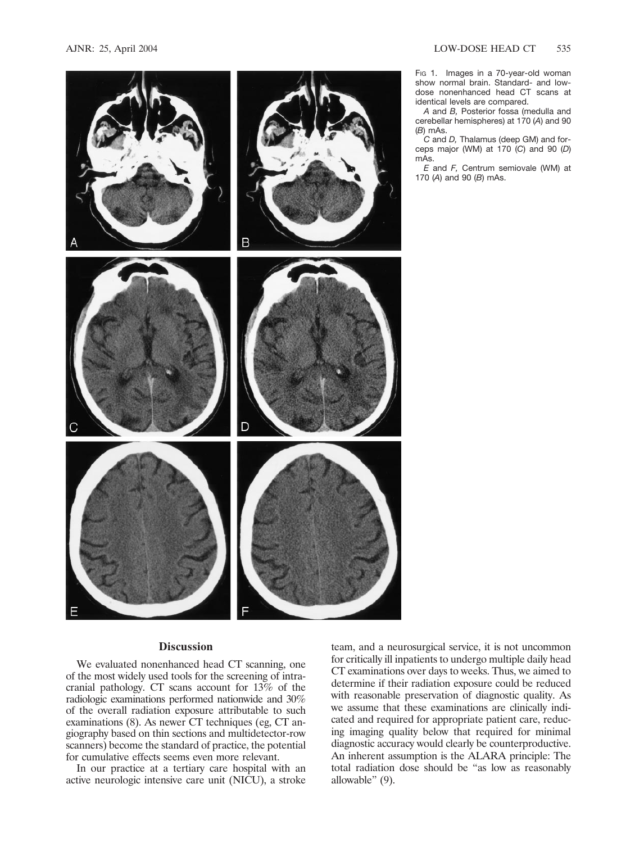

*C* and *D,* Thalamus (deep GM) and forceps major (WM) at 170 (*C*) and 90 (*D*) mAs.

*E* and *F,* Centrum semiovale (WM) at 170 (*A*) and 90 (*B*) mAs.

## **Discussion**

We evaluated nonenhanced head CT scanning, one of the most widely used tools for the screening of intracranial pathology. CT scans account for 13% of the radiologic examinations performed nationwide and 30% of the overall radiation exposure attributable to such examinations (8). As newer CT techniques (eg, CT angiography based on thin sections and multidetector-row scanners) become the standard of practice, the potential for cumulative effects seems even more relevant.

In our practice at a tertiary care hospital with an active neurologic intensive care unit (NICU), a stroke

team, and a neurosurgical service, it is not uncommon for critically ill inpatients to undergo multiple daily head CT examinations over days to weeks. Thus, we aimed to determine if their radiation exposure could be reduced with reasonable preservation of diagnostic quality. As we assume that these examinations are clinically indicated and required for appropriate patient care, reducing imaging quality below that required for minimal diagnostic accuracy would clearly be counterproductive. An inherent assumption is the ALARA principle: The total radiation dose should be "as low as reasonably allowable" (9).

Fig 1. Images in a 70-year-old woman show normal brain. Standard- and lowdose nonenhanced head CT scans at

*A* and *B,* Posterior fossa (medulla and cerebellar hemispheres) at 170 (*A*) and 90

identical levels are compared.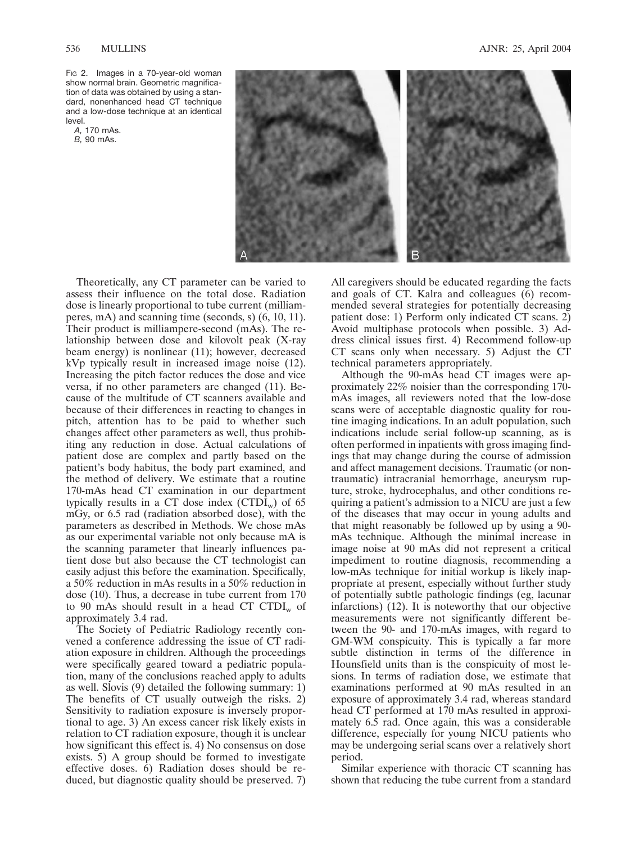FIG 2. Images in a 70-year-old woman show normal brain. Geometric magnification of data was obtained by using a standard, nonenhanced head CT technique and a low-dose technique at an identical level.

*A,* 170 mAs. *B,* 90 mAs.



Theoretically, any CT parameter can be varied to assess their influence on the total dose. Radiation dose is linearly proportional to tube current (milliamperes, mA) and scanning time (seconds, s) (6, 10, 11). Their product is milliampere-second (mAs). The relationship between dose and kilovolt peak (X-ray beam energy) is nonlinear (11); however, decreased kVp typically result in increased image noise (12). Increasing the pitch factor reduces the dose and vice versa, if no other parameters are changed (11). Because of the multitude of CT scanners available and because of their differences in reacting to changes in pitch, attention has to be paid to whether such changes affect other parameters as well, thus prohibiting any reduction in dose. Actual calculations of patient dose are complex and partly based on the patient's body habitus, the body part examined, and the method of delivery. We estimate that a routine 170-mAs head CT examination in our department typically results in a CT dose index  $(CTDI_{w})$  of 65 mGy, or 6.5 rad (radiation absorbed dose), with the parameters as described in Methods. We chose mAs as our experimental variable not only because mA is the scanning parameter that linearly influences patient dose but also because the CT technologist can easily adjust this before the examination. Specifically, a 50% reduction in mAs results in a 50% reduction in dose (10). Thus, a decrease in tube current from 170 to 90 mAs should result in a head CT CTDI<sub>w</sub> of approximately 3.4 rad.

The Society of Pediatric Radiology recently convened a conference addressing the issue of CT radiation exposure in children. Although the proceedings were specifically geared toward a pediatric population, many of the conclusions reached apply to adults as well. Slovis (9) detailed the following summary: 1) The benefits of CT usually outweigh the risks. 2) Sensitivity to radiation exposure is inversely proportional to age. 3) An excess cancer risk likely exists in relation to CT radiation exposure, though it is unclear how significant this effect is. 4) No consensus on dose exists. 5) A group should be formed to investigate effective doses. 6) Radiation doses should be reduced, but diagnostic quality should be preserved. 7)

All caregivers should be educated regarding the facts and goals of CT. Kalra and colleagues (6) recommended several strategies for potentially decreasing patient dose: 1) Perform only indicated CT scans. 2) Avoid multiphase protocols when possible. 3) Address clinical issues first. 4) Recommend follow-up CT scans only when necessary. 5) Adjust the CT technical parameters appropriately.

Although the 90-mAs head CT images were approximately 22% noisier than the corresponding 170 mAs images, all reviewers noted that the low-dose scans were of acceptable diagnostic quality for routine imaging indications. In an adult population, such indications include serial follow-up scanning, as is often performed in inpatients with gross imaging findings that may change during the course of admission and affect management decisions. Traumatic (or nontraumatic) intracranial hemorrhage, aneurysm rupture, stroke, hydrocephalus, and other conditions requiring a patient's admission to a NICU are just a few of the diseases that may occur in young adults and that might reasonably be followed up by using a 90 mAs technique. Although the minimal increase in image noise at 90 mAs did not represent a critical impediment to routine diagnosis, recommending a low-mAs technique for initial workup is likely inappropriate at present, especially without further study of potentially subtle pathologic findings (eg, lacunar infarctions) (12). It is noteworthy that our objective measurements were not significantly different between the 90- and 170-mAs images, with regard to GM-WM conspicuity. This is typically a far more subtle distinction in terms of the difference in Hounsfield units than is the conspicuity of most lesions. In terms of radiation dose, we estimate that examinations performed at 90 mAs resulted in an exposure of approximately 3.4 rad, whereas standard head CT performed at 170 mAs resulted in approximately 6.5 rad. Once again, this was a considerable difference, especially for young NICU patients who may be undergoing serial scans over a relatively short period.

Similar experience with thoracic CT scanning has shown that reducing the tube current from a standard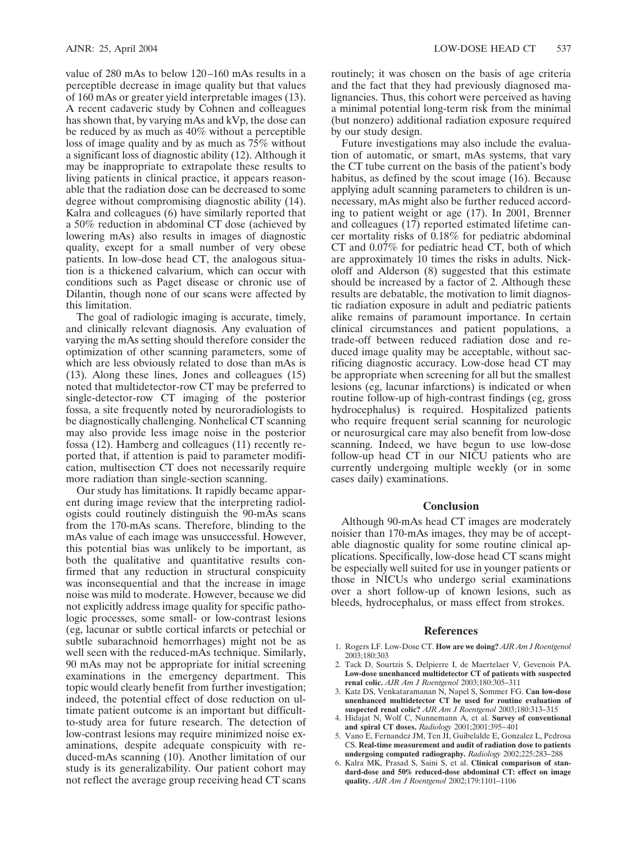value of 280 mAs to below 120–160 mAs results in a perceptible decrease in image quality but that values of 160 mAs or greater yield interpretable images (13). A recent cadaveric study by Cohnen and colleagues has shown that, by varying mAs and kVp, the dose can be reduced by as much as 40% without a perceptible loss of image quality and by as much as 75% without a significant loss of diagnostic ability (12). Although it may be inappropriate to extrapolate these results to living patients in clinical practice, it appears reasonable that the radiation dose can be decreased to some degree without compromising diagnostic ability (14). Kalra and colleagues (6) have similarly reported that a 50% reduction in abdominal CT dose (achieved by lowering mAs) also results in images of diagnostic quality, except for a small number of very obese patients. In low-dose head CT, the analogous situation is a thickened calvarium, which can occur with conditions such as Paget disease or chronic use of Dilantin, though none of our scans were affected by this limitation.

The goal of radiologic imaging is accurate, timely, and clinically relevant diagnosis. Any evaluation of varying the mAs setting should therefore consider the optimization of other scanning parameters, some of which are less obviously related to dose than mAs is (13). Along these lines, Jones and colleagues (15) noted that multidetector-row CT may be preferred to single-detector-row CT imaging of the posterior fossa, a site frequently noted by neuroradiologists to be diagnostically challenging. Nonhelical CT scanning may also provide less image noise in the posterior fossa (12). Hamberg and colleagues (11) recently reported that, if attention is paid to parameter modification, multisection CT does not necessarily require more radiation than single-section scanning.

Our study has limitations. It rapidly became apparent during image review that the interpreting radiologists could routinely distinguish the 90-mAs scans from the 170-mAs scans. Therefore, blinding to the mAs value of each image was unsuccessful. However, this potential bias was unlikely to be important, as both the qualitative and quantitative results confirmed that any reduction in structural conspicuity was inconsequential and that the increase in image noise was mild to moderate. However, because we did not explicitly address image quality for specific pathologic processes, some small- or low-contrast lesions (eg, lacunar or subtle cortical infarcts or petechial or subtle subarachnoid hemorrhages) might not be as well seen with the reduced-mAs technique. Similarly, 90 mAs may not be appropriate for initial screening examinations in the emergency department. This topic would clearly benefit from further investigation; indeed, the potential effect of dose reduction on ultimate patient outcome is an important but difficultto-study area for future research. The detection of low-contrast lesions may require minimized noise examinations, despite adequate conspicuity with reduced-mAs scanning (10). Another limitation of our study is its generalizability. Our patient cohort may not reflect the average group receiving head CT scans

routinely; it was chosen on the basis of age criteria and the fact that they had previously diagnosed malignancies. Thus, this cohort were perceived as having a minimal potential long-term risk from the minimal (but nonzero) additional radiation exposure required by our study design.

Future investigations may also include the evaluation of automatic, or smart, mAs systems, that vary the CT tube current on the basis of the patient's body habitus, as defined by the scout image (16). Because applying adult scanning parameters to children is unnecessary, mAs might also be further reduced according to patient weight or age (17). In 2001, Brenner and colleagues (17) reported estimated lifetime cancer mortality risks of 0.18% for pediatric abdominal CT and 0.07% for pediatric head CT, both of which are approximately 10 times the risks in adults. Nickoloff and Alderson (8) suggested that this estimate should be increased by a factor of 2. Although these results are debatable, the motivation to limit diagnostic radiation exposure in adult and pediatric patients alike remains of paramount importance. In certain clinical circumstances and patient populations, a trade-off between reduced radiation dose and reduced image quality may be acceptable, without sacrificing diagnostic accuracy. Low-dose head CT may be appropriate when screening for all but the smallest lesions (eg, lacunar infarctions) is indicated or when routine follow-up of high-contrast findings (eg, gross hydrocephalus) is required. Hospitalized patients who require frequent serial scanning for neurologic or neurosurgical care may also benefit from low-dose scanning. Indeed, we have begun to use low-dose follow-up head CT in our NICU patients who are currently undergoing multiple weekly (or in some cases daily) examinations.

## **Conclusion**

Although 90-mAs head CT images are moderately noisier than 170-mAs images, they may be of acceptable diagnostic quality for some routine clinical applications. Specifically, low-dose head CT scans might be especially well suited for use in younger patients or those in NICUs who undergo serial examinations over a short follow-up of known lesions, such as bleeds, hydrocephalus, or mass effect from strokes.

## **References**

- 1. Rogers LF. Low-Dose CT. **How are we doing?** *AJR Am J Roentgenol* 2003;180:303
- 2. Tack D, Sourtzis S, Delpierre I, de Maertelaer V, Gevenois PA. **Low-dose unenhanced multidetector CT of patients with suspected renal colic.** *AJR Am J Roentgenol* 2003;180:305–311
- 3. Katz DS, Venkataramanan N, Napel S, Sommer FG. **Can low-dose unenhanced multidetector CT be used for routine evaluation of suspected renal colic?** *AJR Am J Roentgenol* 2003;180:313–315
- 4. Hidajat N, Wolf C, Nunnemann A, et al. **Survey of conventional and spiral CT doses.** *Radiology* 2001;2001:395–401
- 5. Vano E, Fernandez JM, Ten JI, Guibelalde E, Gonzalez L, Pedrosa CS. **Real-time measurement and audit of radiation dose to patients undergoing computed radiography.** *Radiology* 2002;225:283–288
- 6. Kalra MK, Prasad S, Saini S, et al. **Clinical comparison of standard-dose and 50% reduced-dose abdominal CT: effect on image quality.** *AJR Am J Roentgenol* 2002;179:1101–1106